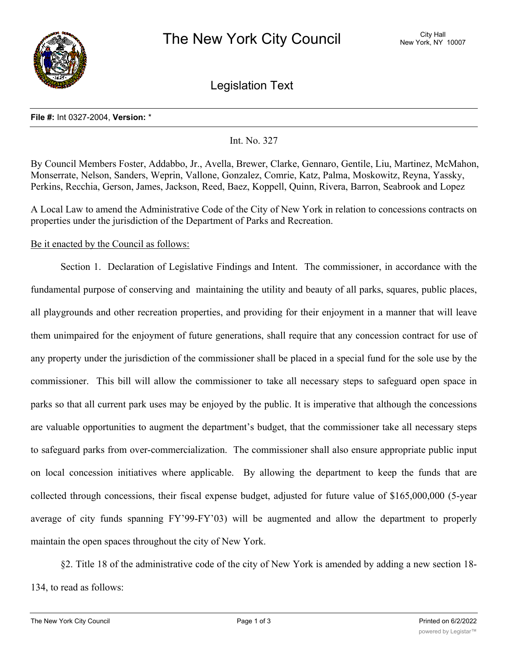

Legislation Text

#### **File #:** Int 0327-2004, **Version:** \*

## Int. No. 327

By Council Members Foster, Addabbo, Jr., Avella, Brewer, Clarke, Gennaro, Gentile, Liu, Martinez, McMahon, Monserrate, Nelson, Sanders, Weprin, Vallone, Gonzalez, Comrie, Katz, Palma, Moskowitz, Reyna, Yassky, Perkins, Recchia, Gerson, James, Jackson, Reed, Baez, Koppell, Quinn, Rivera, Barron, Seabrook and Lopez

A Local Law to amend the Administrative Code of the City of New York in relation to concessions contracts on properties under the jurisdiction of the Department of Parks and Recreation.

## Be it enacted by the Council as follows:

Section 1. Declaration of Legislative Findings and Intent. The commissioner, in accordance with the fundamental purpose of conserving and maintaining the utility and beauty of all parks, squares, public places, all playgrounds and other recreation properties, and providing for their enjoyment in a manner that will leave them unimpaired for the enjoyment of future generations, shall require that any concession contract for use of any property under the jurisdiction of the commissioner shall be placed in a special fund for the sole use by the commissioner. This bill will allow the commissioner to take all necessary steps to safeguard open space in parks so that all current park uses may be enjoyed by the public. It is imperative that although the concessions are valuable opportunities to augment the department's budget, that the commissioner take all necessary steps to safeguard parks from over-commercialization. The commissioner shall also ensure appropriate public input on local concession initiatives where applicable. By allowing the department to keep the funds that are collected through concessions, their fiscal expense budget, adjusted for future value of \$165,000,000 (5-year average of city funds spanning FY'99-FY'03) will be augmented and allow the department to properly maintain the open spaces throughout the city of New York.

§2. Title 18 of the administrative code of the city of New York is amended by adding a new section 18- 134, to read as follows:

 $\mathcal{L}_1$  . There shall be established a special fund, to be established a special fund, to be established a special fund, to be established a special fund, to be established a special fund, to be established a special fu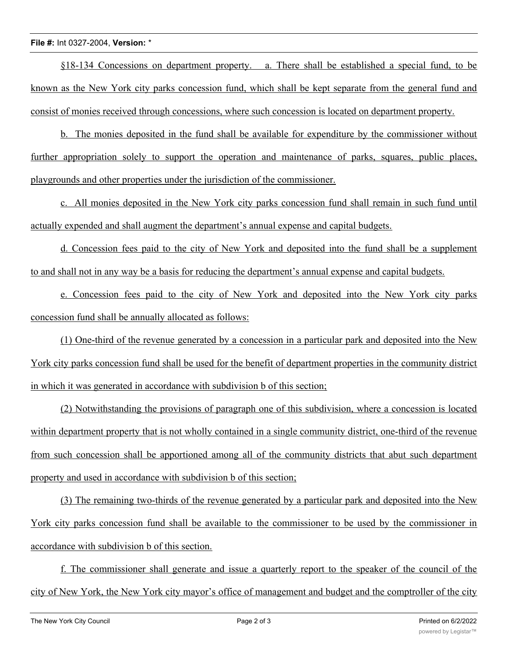#### **File #:** Int 0327-2004, **Version:** \*

§18-134 Concessions on department property. a. There shall be established a special fund, to be known as the New York city parks concession fund, which shall be kept separate from the general fund and consist of monies received through concessions, where such concession is located on department property.

b. The monies deposited in the fund shall be available for expenditure by the commissioner without further appropriation solely to support the operation and maintenance of parks, squares, public places, playgrounds and other properties under the jurisdiction of the commissioner.

c. All monies deposited in the New York city parks concession fund shall remain in such fund until actually expended and shall augment the department's annual expense and capital budgets.

d. Concession fees paid to the city of New York and deposited into the fund shall be a supplement to and shall not in any way be a basis for reducing the department's annual expense and capital budgets.

e. Concession fees paid to the city of New York and deposited into the New York city parks concession fund shall be annually allocated as follows:

(1) One-third of the revenue generated by a concession in a particular park and deposited into the New York city parks concession fund shall be used for the benefit of department properties in the community district in which it was generated in accordance with subdivision b of this section;

(2) Notwithstanding the provisions of paragraph one of this subdivision, where a concession is located within department property that is not wholly contained in a single community district, one-third of the revenue from such concession shall be apportioned among all of the community districts that abut such department property and used in accordance with subdivision b of this section;

(3) The remaining two-thirds of the revenue generated by a particular park and deposited into the New York city parks concession fund shall be available to the commissioner to be used by the commissioner in accordance with subdivision b of this section.

f. The commissioner shall generate and issue a quarterly report to the speaker of the council of the city of New York, the New York city mayor's office of management and budget and the comptroller of the city